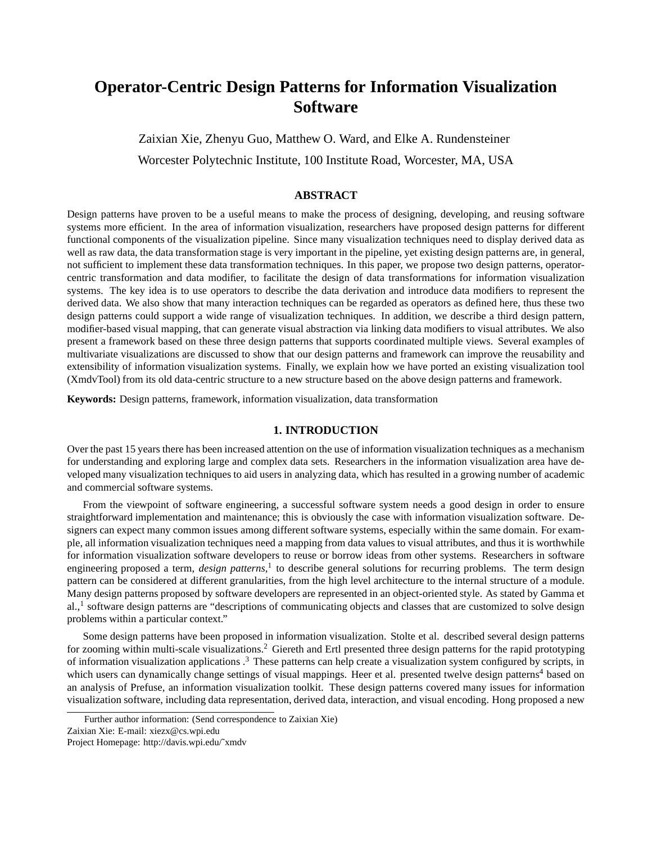# **Operator-Centric Design Patterns for Information Visualization Software**

Zaixian Xie, Zhenyu Guo, Matthew O. Ward, and Elke A. Rundensteiner Worcester Polytechnic Institute, 100 Institute Road, Worcester, MA, USA

# **ABSTRACT**

Design patterns have proven to be a useful means to make the process of designing, developing, and reusing software systems more efficient. In the area of information visualization, researchers have proposed design patterns for different functional components of the visualization pipeline. Since many visualization techniques need to display derived data as well as raw data, the data transformation stage is very important in the pipeline, yet existing design patterns are, in general, not sufficient to implement these data transformation techniques. In this paper, we propose two design patterns, operatorcentric transformation and data modifier, to facilitate the design of data transformations for information visualization systems. The key idea is to use operators to describe the data derivation and introduce data modifiers to represent the derived data. We also show that many interaction techniques can be regarded as operators as defined here, thus these two design patterns could support a wide range of visualization techniques. In addition, we describe a third design pattern, modifier-based visual mapping, that can generate visual abstraction via linking data modifiers to visual attributes. We also present a framework based on these three design patterns that supports coordinated multiple views. Several examples of multivariate visualizations are discussed to show that our design patterns and framework can improve the reusability and extensibility of information visualization systems. Finally, we explain how we have ported an existing visualization tool (XmdvTool) from its old data-centric structure to a new structure based on the above design patterns and framework.

**Keywords:** Design patterns, framework, information visualization, data transformation

## **1. INTRODUCTION**

Over the past 15 years there has been increased attention on the use of information visualization techniques as a mechanism for understanding and exploring large and complex data sets. Researchers in the information visualization area have developed many visualization techniques to aid users in analyzing data, which has resulted in a growing number of academic and commercial software systems.

From the viewpoint of software engineering, a successful software system needs a good design in order to ensure straightforward implementation and maintenance; this is obviously the case with information visualization software. Designers can expect many common issues among different software systems, especially within the same domain. For example, all information visualization techniques need a mapping from data values to visual attributes, and thus it is worthwhile for information visualization software developers to reuse or borrow ideas from other systems. Researchers in software engineering proposed a term, *design patterns*, 1 to describe general solutions for recurring problems. The term design pattern can be considered at different granularities, from the high level architecture to the internal structure of a module. Many design patterns proposed by software developers are represented in an object-oriented style. As stated by Gamma et al.,<sup>1</sup> software design patterns are "descriptions of communicating objects and classes that are customized to solve design problems within a particular context."

Some design patterns have been proposed in information visualization. Stolte et al. described several design patterns for zooming within multi-scale visualizations.<sup>2</sup> Giereth and Ertl presented three design patterns for the rapid prototyping of information visualization applications  $3 \times 3$  These patterns can help create a visualization system configured by scripts, in which users can dynamically change settings of visual mappings. Heer et al. presented twelve design patterns<sup>4</sup> based on an analysis of Prefuse, an information visualization toolkit. These design patterns covered many issues for information visualization software, including data representation, derived data, interaction, and visual encoding. Hong proposed a new

Further author information: (Send correspondence to Zaixian Xie)

Zaixian Xie: E-mail: xiezx@cs.wpi.edu

Project Homepage: http://davis.wpi.edu/˜xmdv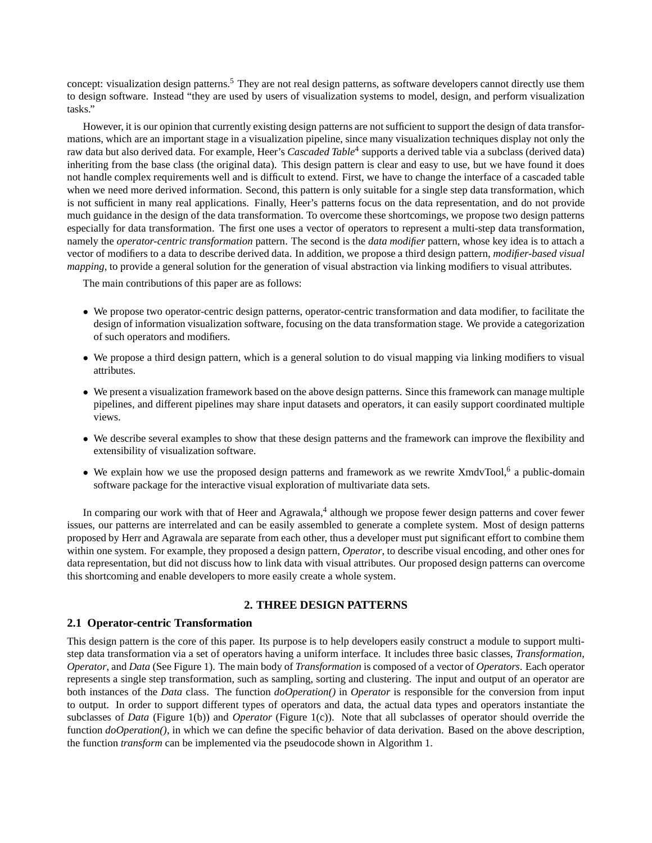concept: visualization design patterns.<sup>5</sup> They are not real design patterns, as software developers cannot directly use them to design software. Instead "they are used by users of visualization systems to model, design, and perform visualization tasks."

However, it is our opinion that currently existing design patterns are not sufficient to support the design of data transformations, which are an important stage in a visualization pipeline, since many visualization techniques display not only the raw data but also derived data. For example, Heer's *Cascaded Table<sup>4</sup>* supports a derived table via a subclass (derived data) inheriting from the base class (the original data). This design pattern is clear and easy to use, but we have found it does not handle complex requirements well and is difficult to extend. First, we have to change the interface of a cascaded table when we need more derived information. Second, this pattern is only suitable for a single step data transformation, which is not sufficient in many real applications. Finally, Heer's patterns focus on the data representation, and do not provide much guidance in the design of the data transformation. To overcome these shortcomings, we propose two design patterns especially for data transformation. The first one uses a vector of operators to represent a multi-step data transformation, namely the *operator-centric transformation* pattern. The second is the *data modifier* pattern, whose key idea is to attach a vector of modifiers to a data to describe derived data. In addition, we propose a third design pattern, *modifier-based visual mapping*, to provide a general solution for the generation of visual abstraction via linking modifiers to visual attributes.

The main contributions of this paper are as follows:

- We propose two operator-centric design patterns, operator-centric transformation and data modifier, to facilitate the design of information visualization software, focusing on the data transformation stage. We provide a categorization of such operators and modifiers.
- We propose a third design pattern, which is a general solution to do visual mapping via linking modifiers to visual attributes.
- We present a visualization framework based on the above design patterns. Since this framework can manage multiple pipelines, and different pipelines may share input datasets and operators, it can easily support coordinated multiple views.
- We describe several examples to show that these design patterns and the framework can improve the flexibility and extensibility of visualization software.
- We explain how we use the proposed design patterns and framework as we rewrite XmdvTool,<sup>6</sup> a public-domain software package for the interactive visual exploration of multivariate data sets.

In comparing our work with that of Heer and Agrawala,<sup>4</sup> although we propose fewer design patterns and cover fewer issues, our patterns are interrelated and can be easily assembled to generate a complete system. Most of design patterns proposed by Herr and Agrawala are separate from each other, thus a developer must put significant effort to combine them within one system. For example, they proposed a design pattern, *Operator*, to describe visual encoding, and other ones for data representation, but did not discuss how to link data with visual attributes. Our proposed design patterns can overcome this shortcoming and enable developers to more easily create a whole system.

# **2. THREE DESIGN PATTERNS**

## **2.1 Operator-centric Transformation**

This design pattern is the core of this paper. Its purpose is to help developers easily construct a module to support multistep data transformation via a set of operators having a uniform interface. It includes three basic classes, *Transformation*, *Operator*, and *Data* (See Figure 1). The main body of *Transformation* is composed of a vector of *Operators*. Each operator represents a single step transformation, such as sampling, sorting and clustering. The input and output of an operator are both instances of the *Data* class. The function *doOperation()* in *Operator* is responsible for the conversion from input to output. In order to support different types of operators and data, the actual data types and operators instantiate the subclasses of *Data* (Figure 1(b)) and *Operator* (Figure 1(c)). Note that all subclasses of operator should override the function *doOperation()*, in which we can define the specific behavior of data derivation. Based on the above description, the function *transform* can be implemented via the pseudocode shown in Algorithm 1.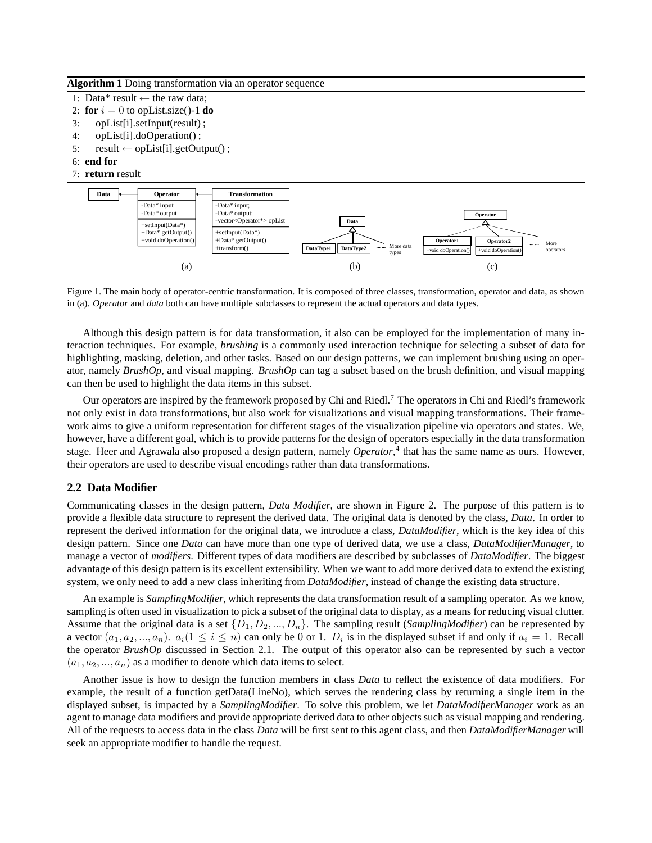**Algorithm 1** Doing transformation via an operator sequence

- 1: Data\* result ← the raw data;
- 2: **for**  $i = 0$  to opList.size()-1 **do**
- 3: opList[i].setInput(result) ;
- 4: opList[i].doOperation();
- 5: result  $\leftarrow$  opList[i].getOutput();
- 6: **end for**
- 7: **return** result



Figure 1. The main body of operator-centric transformation. It is composed of three classes, transformation, operator and data, as shown in (a). *Operator* and *data* both can have multiple subclasses to represent the actual operators and data types.

Although this design pattern is for data transformation, it also can be employed for the implementation of many interaction techniques. For example, *brushing* is a commonly used interaction technique for selecting a subset of data for highlighting, masking, deletion, and other tasks. Based on our design patterns, we can implement brushing using an operator, namely *BrushOp*, and visual mapping. *BrushOp* can tag a subset based on the brush definition, and visual mapping can then be used to highlight the data items in this subset.

Our operators are inspired by the framework proposed by Chi and Riedl.<sup>7</sup> The operators in Chi and Riedl's framework not only exist in data transformations, but also work for visualizations and visual mapping transformations. Their framework aims to give a uniform representation for different stages of the visualization pipeline via operators and states. We, however, have a different goal, which is to provide patterns for the design of operators especially in the data transformation stage. Heer and Agrawala also proposed a design pattern, namely *Operator*, 4 that has the same name as ours. However, their operators are used to describe visual encodings rather than data transformations.

#### **2.2 Data Modifier**

Communicating classes in the design pattern, *Data Modifier*, are shown in Figure 2. The purpose of this pattern is to provide a flexible data structure to represent the derived data. The original data is denoted by the class, *Data*. In order to represent the derived information for the original data, we introduce a class, *DataModifier*, which is the key idea of this design pattern. Since one *Data* can have more than one type of derived data, we use a class, *DataModifierManager*, to manage a vector of *modifiers*. Different types of data modifiers are described by subclasses of *DataModifier*. The biggest advantage of this design pattern is its excellent extensibility. When we want to add more derived data to extend the existing system, we only need to add a new class inheriting from *DataModifier*, instead of change the existing data structure.

An example is *SamplingModifier*, which represents the data transformation result of a sampling operator. As we know, sampling is often used in visualization to pick a subset of the original data to display, as a means for reducing visual clutter. Assume that the original data is a set  $\{D_1, D_2, ..., D_n\}$ . The sampling result (*SamplingModifier*) can be represented by a vector  $(a_1, a_2, ..., a_n)$ .  $a_i (1 \le i \le n)$  can only be 0 or 1.  $D_i$  is in the displayed subset if and only if  $a_i = 1$ . Recall the operator *BrushOp* discussed in Section 2.1. The output of this operator also can be represented by such a vector  $(a_1, a_2, ..., a_n)$  as a modifier to denote which data items to select.

Another issue is how to design the function members in class *Data* to reflect the existence of data modifiers. For example, the result of a function getData(LineNo), which serves the rendering class by returning a single item in the displayed subset, is impacted by a *SamplingModifier*. To solve this problem, we let *DataModifierManager* work as an agent to manage data modifiers and provide appropriate derived data to other objects such as visual mapping and rendering. All of the requests to access data in the class *Data* will be first sent to this agent class, and then *DataModifierManager* will seek an appropriate modifier to handle the request.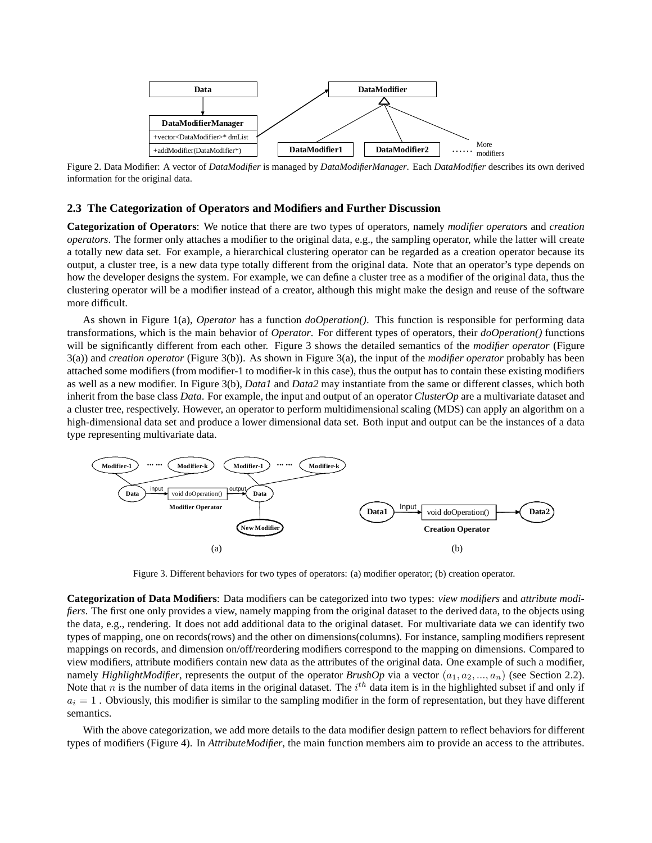

Figure 2. Data Modifier: A vector of *DataModifier* is managed by *DataModifierManager*. Each *DataModifier* describes its own derived information for the original data.

#### **2.3 The Categorization of Operators and Modifiers and Further Discussion**

**Categorization of Operators**: We notice that there are two types of operators, namely *modifier operators* and *creation operators*. The former only attaches a modifier to the original data, e.g., the sampling operator, while the latter will create a totally new data set. For example, a hierarchical clustering operator can be regarded as a creation operator because its output, a cluster tree, is a new data type totally different from the original data. Note that an operator's type depends on how the developer designs the system. For example, we can define a cluster tree as a modifier of the original data, thus the clustering operator will be a modifier instead of a creator, although this might make the design and reuse of the software more difficult.

As shown in Figure 1(a), *Operator* has a function *doOperation()*. This function is responsible for performing data transformations, which is the main behavior of *Operator*. For different types of operators, their *doOperation()* functions will be significantly different from each other. Figure 3 shows the detailed semantics of the *modifier operator* (Figure 3(a)) and *creation operator* (Figure 3(b)). As shown in Figure 3(a), the input of the *modifier operator* probably has been attached some modifiers (from modifier-1 to modifier-k in this case), thus the output has to contain these existing modifiers as well as a new modifier. In Figure 3(b), *Data1* and *Data2* may instantiate from the same or different classes, which both inherit from the base class *Data*. For example, the input and output of an operator *ClusterOp* are a multivariate dataset and a cluster tree, respectively. However, an operator to perform multidimensional scaling (MDS) can apply an algorithm on a high-dimensional data set and produce a lower dimensional data set. Both input and output can be the instances of a data type representing multivariate data.



Figure 3. Different behaviors for two types of operators: (a) modifier operator; (b) creation operator.

**Categorization of Data Modifiers**: Data modifiers can be categorized into two types: *view modifiers* and *attribute modifiers*. The first one only provides a view, namely mapping from the original dataset to the derived data, to the objects using the data, e.g., rendering. It does not add additional data to the original dataset. For multivariate data we can identify two types of mapping, one on records(rows) and the other on dimensions(columns). For instance, sampling modifiers represent mappings on records, and dimension on/off/reordering modifiers correspond to the mapping on dimensions. Compared to view modifiers, attribute modifiers contain new data as the attributes of the original data. One example of such a modifier, namely *HighlightModifier*, represents the output of the operator *BrushOp* via a vector  $(a_1, a_2, ..., a_n)$  (see Section 2.2). Note that *n* is the number of data items in the original dataset. The  $i^{th}$  data item is in the highlighted subset if and only if  $a_i = 1$ . Obviously, this modifier is similar to the sampling modifier in the form of representation, but they have different semantics.

With the above categorization, we add more details to the data modifier design pattern to reflect behaviors for different types of modifiers (Figure 4). In *AttributeModifier*, the main function members aim to provide an access to the attributes.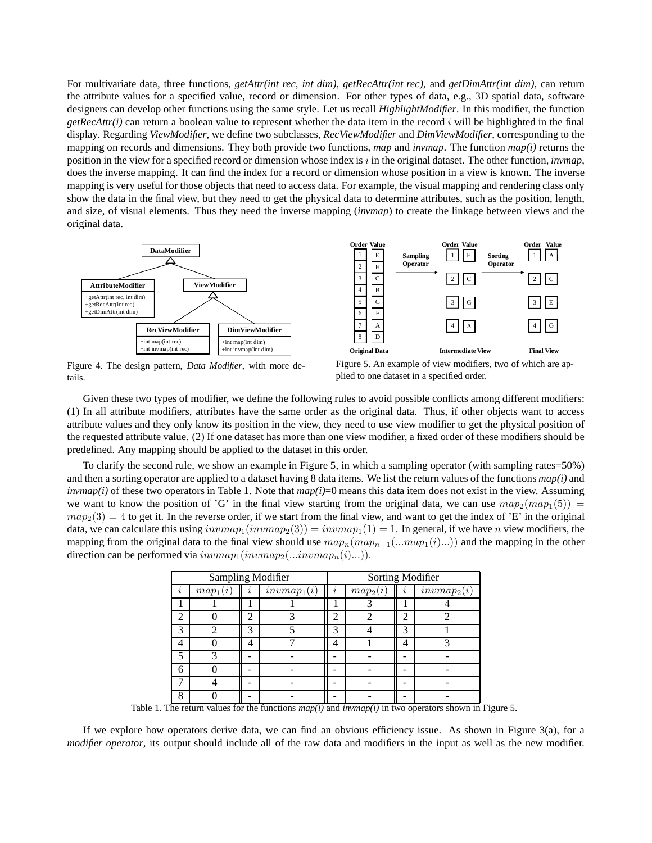For multivariate data, three functions, *getAttr(int rec, int dim)*, *getRecAttr(int rec)*, and *getDimAttr(int dim)*, can return the attribute values for a specified value, record or dimension. For other types of data, e.g., 3D spatial data, software designers can develop other functions using the same style. Let us recall *HighlightModifier*. In this modifier, the function  $getRecAttr(i)$  can return a boolean value to represent whether the data item in the record i will be highlighted in the final display. Regarding *ViewModifier*, we define two subclasses, *RecViewModifier* and *DimViewModifier*, corresponding to the mapping on records and dimensions. They both provide two functions, *map* and *invmap*. The function *map(i)* returns the position in the view for a specified record or dimension whose index is i in the original dataset. The other function, *invmap*, does the inverse mapping. It can find the index for a record or dimension whose position in a view is known. The inverse mapping is very useful for those objects that need to access data. For example, the visual mapping and rendering class only show the data in the final view, but they need to get the physical data to determine attributes, such as the position, length, and size, of visual elements. Thus they need the inverse mapping (*invmap*) to create the linkage between views and the original data.





Figure 4. The design pattern, *Data Modifier*, with more details.

Figure 5. An example of view modifiers, two of which are applied to one dataset in a specified order.

Given these two types of modifier, we define the following rules to avoid possible conflicts among different modifiers: (1) In all attribute modifiers, attributes have the same order as the original data. Thus, if other objects want to access attribute values and they only know its position in the view, they need to use view modifier to get the physical position of the requested attribute value. (2) If one dataset has more than one view modifier, a fixed order of these modifiers should be predefined. Any mapping should be applied to the dataset in this order.

To clarify the second rule, we show an example in Figure 5, in which a sampling operator (with sampling rates=50%) and then a sorting operator are applied to a dataset having 8 data items. We list the return values of the functions *map(i)* and *invmap(i)* of these two operators in Table 1. Note that  $map(i)=0$  means this data item does not exist in the view. Assuming we want to know the position of 'G' in the final view starting from the original data, we can use  $map_2(map_1(5)) =$  $map_2(3) = 4$  to get it. In the reverse order, if we start from the final view, and want to get the index of 'E' in the original data, we can calculate this using  $invmap_1(invmap_2(3)) = invmap_1(1) = 1$ . In general, if we have n view modifiers, the mapping from the original data to the final view should use  $map_n(max_{n-1}(...map_1(i)...))$  and the mapping in the other direction can be performed via  $invmap_1(invmap_2(...invmap_n(i)...)).$ 

| <b>Sampling Modifier</b> |            |   |                          | Sorting Modifier    |            |    |                |
|--------------------------|------------|---|--------------------------|---------------------|------------|----|----------------|
| $\iota$                  | $map_1(i)$ |   | in vmap <sub>1</sub> (i) | $\boldsymbol{\eta}$ | $map_2(i)$ | Ì. | $in vmap_2(i)$ |
|                          |            |   |                          |                     |            |    |                |
| ◠                        |            | ◠ |                          | ി<br>∠              |            | ◠  |                |
| 3                        |            | 3 |                          | 3                   |            | 3  |                |
| 4                        |            | 4 |                          | 4                   |            | 4  |                |
| 5                        |            |   |                          |                     |            |    |                |
| 6                        |            |   |                          |                     |            |    |                |
|                          |            |   |                          |                     |            |    |                |
| 8                        |            |   |                          |                     | .          |    |                |

Table 1. The return values for the functions *map(i)* and *invmap(i)* in two operators shown in Figure 5.

If we explore how operators derive data, we can find an obvious efficiency issue. As shown in Figure  $3(a)$ , for a *modifier operator*, its output should include all of the raw data and modifiers in the input as well as the new modifier.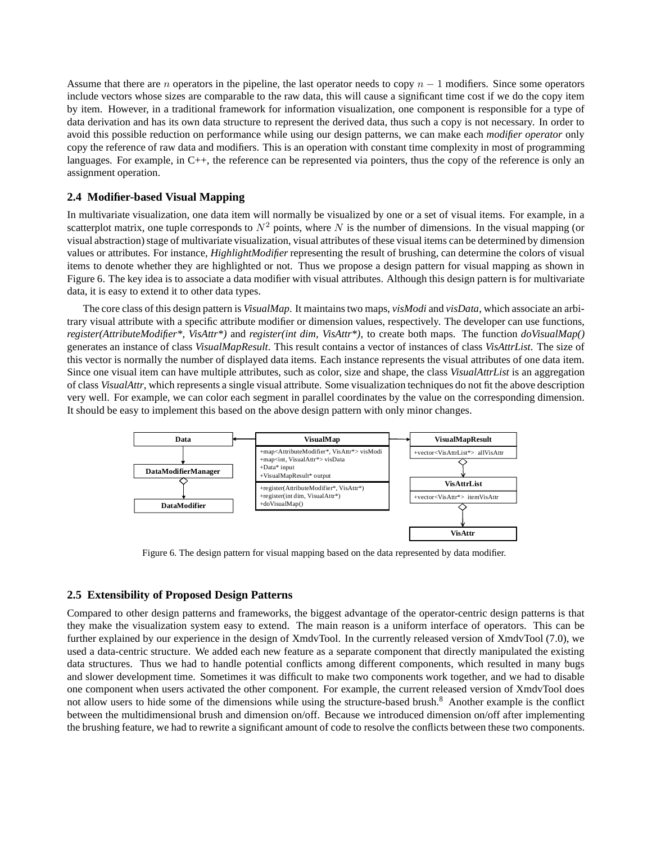Assume that there are n operators in the pipeline, the last operator needs to copy  $n-1$  modifiers. Since some operators include vectors whose sizes are comparable to the raw data, this will cause a significant time cost if we do the copy item by item. However, in a traditional framework for information visualization, one component is responsible for a type of data derivation and has its own data structure to represent the derived data, thus such a copy is not necessary. In order to avoid this possible reduction on performance while using our design patterns, we can make each *modifier operator* only copy the reference of raw data and modifiers. This is an operation with constant time complexity in most of programming languages. For example, in C++, the reference can be represented via pointers, thus the copy of the reference is only an assignment operation.

## **2.4 Modifier-based Visual Mapping**

In multivariate visualization, one data item will normally be visualized by one or a set of visual items. For example, in a scatterplot matrix, one tuple corresponds to  $N^2$  points, where N is the number of dimensions. In the visual mapping (or visual abstraction) stage of multivariate visualization, visual attributes of these visual items can be determined by dimension values or attributes. For instance, *HighlightModifier* representing the result of brushing, can determine the colors of visual items to denote whether they are highlighted or not. Thus we propose a design pattern for visual mapping as shown in Figure 6. The key idea is to associate a data modifier with visual attributes. Although this design pattern is for multivariate data, it is easy to extend it to other data types.

The core class of this design pattern is *VisualMap*. It maintains two maps, *visModi* and *visData*, which associate an arbitrary visual attribute with a specific attribute modifier or dimension values, respectively. The developer can use functions, *register(AttributeModifier\*, VisAttr\*)* and *register(int dim, VisAttr\*)*, to create both maps. The function *doVisualMap()* generates an instance of class *VisualMapResult*. This result contains a vector of instances of class *VisAttrList*. The size of this vector is normally the number of displayed data items. Each instance represents the visual attributes of one data item. Since one visual item can have multiple attributes, such as color, size and shape, the class *VisualAttrList* is an aggregation of class *VisualAttr*, which represents a single visual attribute. Some visualization techniques do not fit the above description very well. For example, we can color each segment in parallel coordinates by the value on the corresponding dimension. It should be easy to implement this based on the above design pattern with only minor changes.



Figure 6. The design pattern for visual mapping based on the data represented by data modifier.

## **2.5 Extensibility of Proposed Design Patterns**

Compared to other design patterns and frameworks, the biggest advantage of the operator-centric design patterns is that they make the visualization system easy to extend. The main reason is a uniform interface of operators. This can be further explained by our experience in the design of XmdvTool. In the currently released version of XmdvTool (7.0), we used a data-centric structure. We added each new feature as a separate component that directly manipulated the existing data structures. Thus we had to handle potential conflicts among different components, which resulted in many bugs and slower development time. Sometimes it was difficult to make two components work together, and we had to disable one component when users activated the other component. For example, the current released version of XmdvTool does not allow users to hide some of the dimensions while using the structure-based brush.<sup>8</sup> Another example is the conflict between the multidimensional brush and dimension on/off. Because we introduced dimension on/off after implementing the brushing feature, we had to rewrite a significant amount of code to resolve the conflicts between these two components.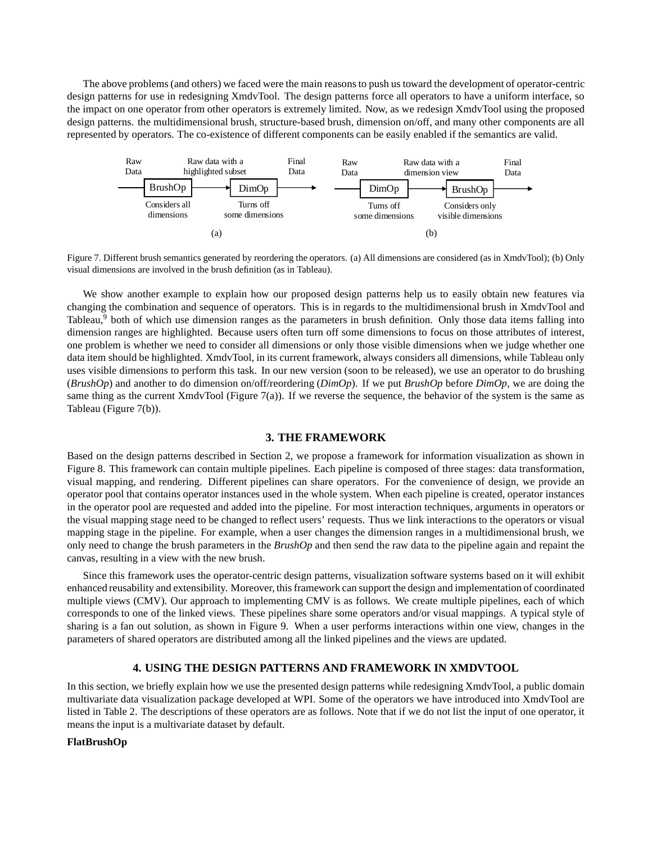The above problems (and others) we faced were the main reasons to push us toward the development of operator-centric design patterns for use in redesigning XmdvTool. The design patterns force all operators to have a uniform interface, so the impact on one operator from other operators is extremely limited. Now, as we redesign XmdvTool using the proposed design patterns. the multidimensional brush, structure-based brush, dimension on/off, and many other components are all represented by operators. The co-existence of different components can be easily enabled if the semantics are valid.



Figure 7. Different brush semantics generated by reordering the operators. (a) All dimensions are considered (as in XmdvTool); (b) Only visual dimensions are involved in the brush definition (as in Tableau).

We show another example to explain how our proposed design patterns help us to easily obtain new features via changing the combination and sequence of operators. This is in regards to the multidimensional brush in XmdvTool and Tableau,<sup>9</sup> both of which use dimension ranges as the parameters in brush definition. Only those data items falling into dimension ranges are highlighted. Because users often turn off some dimensions to focus on those attributes of interest, one problem is whether we need to consider all dimensions or only those visible dimensions when we judge whether one data item should be highlighted. XmdvTool, in its current framework, always considers all dimensions, while Tableau only uses visible dimensions to perform this task. In our new version (soon to be released), we use an operator to do brushing (*BrushOp*) and another to do dimension on/off/reordering (*DimOp*). If we put *BrushOp* before *DimOp*, we are doing the same thing as the current XmdvTool (Figure 7(a)). If we reverse the sequence, the behavior of the system is the same as Tableau (Figure 7(b)).

## **3. THE FRAMEWORK**

Based on the design patterns described in Section 2, we propose a framework for information visualization as shown in Figure 8. This framework can contain multiple pipelines. Each pipeline is composed of three stages: data transformation, visual mapping, and rendering. Different pipelines can share operators. For the convenience of design, we provide an operator pool that contains operator instances used in the whole system. When each pipeline is created, operator instances in the operator pool are requested and added into the pipeline. For most interaction techniques, arguments in operators or the visual mapping stage need to be changed to reflect users' requests. Thus we link interactions to the operators or visual mapping stage in the pipeline. For example, when a user changes the dimension ranges in a multidimensional brush, we only need to change the brush parameters in the *BrushOp* and then send the raw data to the pipeline again and repaint the canvas, resulting in a view with the new brush.

Since this framework uses the operator-centric design patterns, visualization software systems based on it will exhibit enhanced reusability and extensibility. Moreover, this framework can support the design and implementation of coordinated multiple views (CMV). Our approach to implementing CMV is as follows. We create multiple pipelines, each of which corresponds to one of the linked views. These pipelines share some operators and/or visual mappings. A typical style of sharing is a fan out solution, as shown in Figure 9. When a user performs interactions within one view, changes in the parameters of shared operators are distributed among all the linked pipelines and the views are updated.

# **4. USING THE DESIGN PATTERNS AND FRAMEWORK IN XMDVTOOL**

In this section, we briefly explain how we use the presented design patterns while redesigning XmdvTool, a public domain multivariate data visualization package developed at WPI. Some of the operators we have introduced into XmdvTool are listed in Table 2. The descriptions of these operators are as follows. Note that if we do not list the input of one operator, it means the input is a multivariate dataset by default.

#### **FlatBrushOp**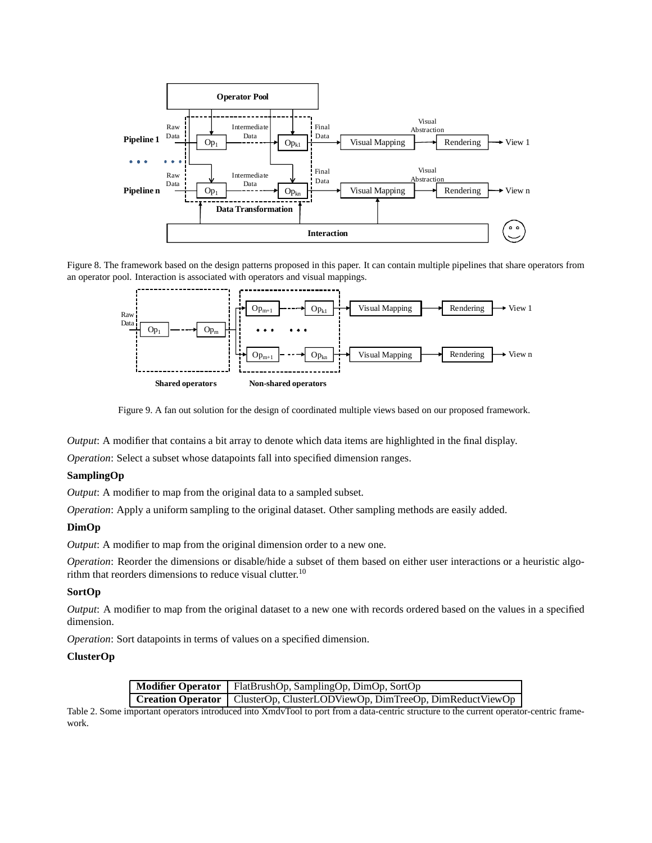

Figure 8. The framework based on the design patterns proposed in this paper. It can contain multiple pipelines that share operators from an operator pool. Interaction is associated with operators and visual mappings.



Figure 9. A fan out solution for the design of coordinated multiple views based on our proposed framework.

*Output*: A modifier that contains a bit array to denote which data items are highlighted in the final display.

*Operation*: Select a subset whose datapoints fall into specified dimension ranges.

# **SamplingOp**

*Output*: A modifier to map from the original data to a sampled subset.

*Operation*: Apply a uniform sampling to the original dataset. Other sampling methods are easily added.

# **DimOp**

*Output*: A modifier to map from the original dimension order to a new one.

*Operation*: Reorder the dimensions or disable/hide a subset of them based on either user interactions or a heuristic algorithm that reorders dimensions to reduce visual clutter.<sup>10</sup>

# **SortOp**

*Output*: A modifier to map from the original dataset to a new one with records ordered based on the values in a specified dimension.

*Operation*: Sort datapoints in terms of values on a specified dimension.

# **ClusterOp**

| Modifier Operator   FlatBrushOp, SamplingOp, DimOp, SortOp                  |  |  |  |  |
|-----------------------------------------------------------------------------|--|--|--|--|
| Creation Operator   ClusterOp, ClusterLODViewOp, DimTreeOp, DimReductViewOp |  |  |  |  |

Table 2. Some important operators introduced into XmdvTool to port from a data-centric structure to the current operator-centric framework.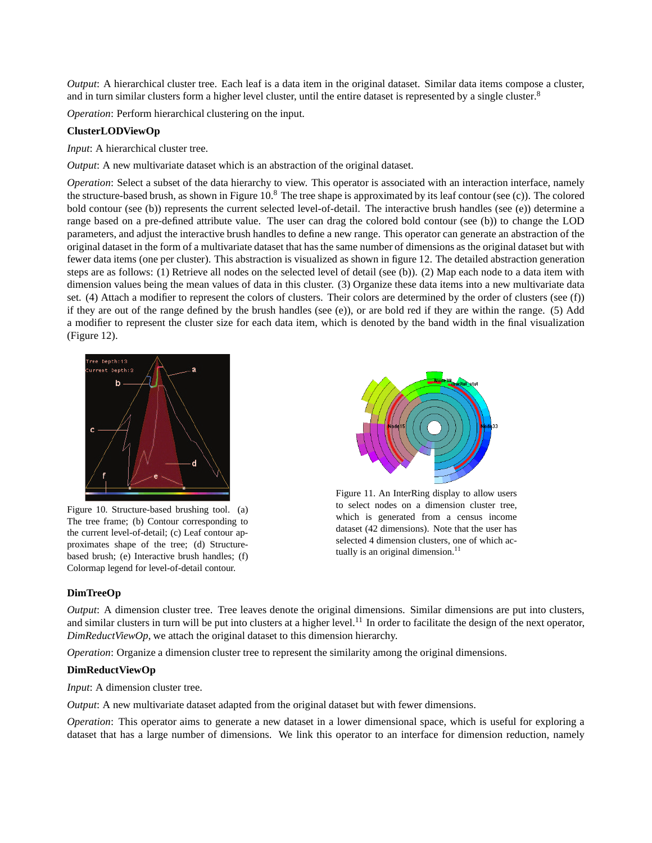*Output*: A hierarchical cluster tree. Each leaf is a data item in the original dataset. Similar data items compose a cluster, and in turn similar clusters form a higher level cluster, until the entire dataset is represented by a single cluster.<sup>8</sup>

*Operation*: Perform hierarchical clustering on the input.

#### **ClusterLODViewOp**

*Input*: A hierarchical cluster tree.

*Output*: A new multivariate dataset which is an abstraction of the original dataset.

*Operation*: Select a subset of the data hierarchy to view. This operator is associated with an interaction interface, namely the structure-based brush, as shown in Figure  $10<sup>8</sup>$  The tree shape is approximated by its leaf contour (see (c)). The colored bold contour (see (b)) represents the current selected level-of-detail. The interactive brush handles (see (e)) determine a range based on a pre-defined attribute value. The user can drag the colored bold contour (see (b)) to change the LOD parameters, and adjust the interactive brush handles to define a new range. This operator can generate an abstraction of the original dataset in the form of a multivariate dataset that has the same number of dimensions as the original dataset but with fewer data items (one per cluster). This abstraction is visualized as shown in figure 12. The detailed abstraction generation steps are as follows: (1) Retrieve all nodes on the selected level of detail (see (b)). (2) Map each node to a data item with dimension values being the mean values of data in this cluster. (3) Organize these data items into a new multivariate data set. (4) Attach a modifier to represent the colors of clusters. Their colors are determined by the order of clusters (see (f)) if they are out of the range defined by the brush handles (see (e)), or are bold red if they are within the range. (5) Add a modifier to represent the cluster size for each data item, which is denoted by the band width in the final visualization (Figure 12).



Figure 10. Structure-based brushing tool. (a) The tree frame; (b) Contour corresponding to the current level-of-detail; (c) Leaf contour approximates shape of the tree; (d) Structurebased brush; (e) Interactive brush handles; (f) Colormap legend for level-of-detail contour.



Figure 11. An InterRing display to allow users to select nodes on a dimension cluster tree, which is generated from a census income dataset (42 dimensions). Note that the user has selected 4 dimension clusters, one of which actually is an original dimension. $^{11}$ 

#### **DimTreeOp**

*Output*: A dimension cluster tree. Tree leaves denote the original dimensions. Similar dimensions are put into clusters, and similar clusters in turn will be put into clusters at a higher level.<sup>11</sup> In order to facilitate the design of the next operator, *DimReductViewOp*, we attach the original dataset to this dimension hierarchy.

*Operation*: Organize a dimension cluster tree to represent the similarity among the original dimensions.

#### **DimReductViewOp**

*Input*: A dimension cluster tree.

*Output*: A new multivariate dataset adapted from the original dataset but with fewer dimensions.

*Operation*: This operator aims to generate a new dataset in a lower dimensional space, which is useful for exploring a dataset that has a large number of dimensions. We link this operator to an interface for dimension reduction, namely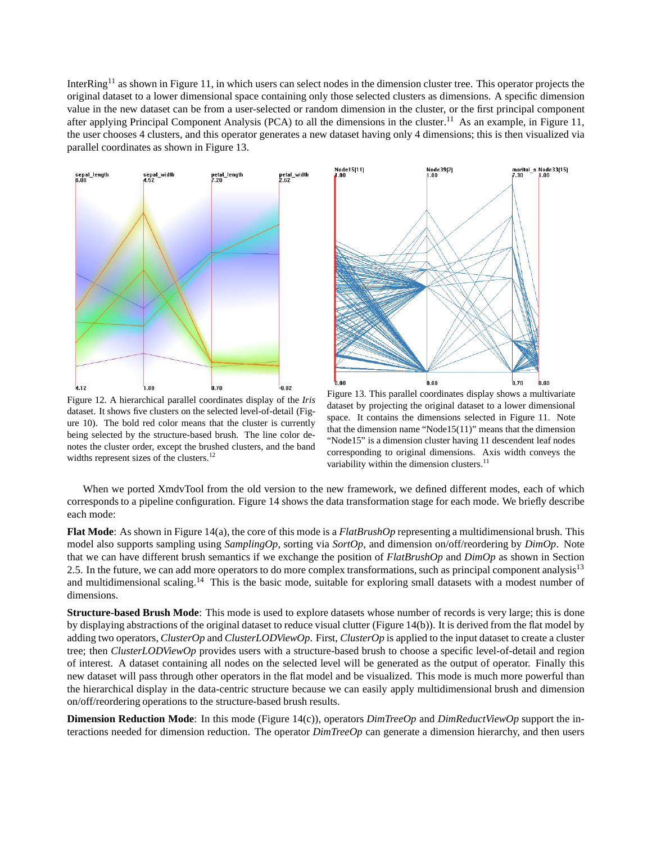Inter $Ring<sup>11</sup>$  as shown in Figure 11, in which users can select nodes in the dimension cluster tree. This operator projects the original dataset to a lower dimensional space containing only those selected clusters as dimensions. A specific dimension value in the new dataset can be from a user-selected or random dimension in the cluster, or the first principal component after applying Principal Component Analysis (PCA) to all the dimensions in the cluster.<sup>11</sup> As an example, in Figure 11, the user chooses 4 clusters, and this operator generates a new dataset having only 4 dimensions; this is then visualized via parallel coordinates as shown in Figure 13.





Figure 12. A hierarchical parallel coordinates display of the *Iris* dataset. It shows five clusters on the selected level-of-detail (Figure 10). The bold red color means that the cluster is currently being selected by the structure-based brush. The line color denotes the cluster order, except the brushed clusters, and the band widths represent sizes of the clusters.<sup>12</sup>

Figure 13. This parallel coordinates display shows a multivariate dataset by projecting the original dataset to a lower dimensional space. It contains the dimensions selected in Figure 11. Note that the dimension name "Node15(11)" means that the dimension "Node15" is a dimension cluster having 11 descendent leaf nodes corresponding to original dimensions. Axis width conveys the variability within the dimension clusters. $^{11}$ 

When we ported XmdvTool from the old version to the new framework, we defined different modes, each of which corresponds to a pipeline configuration. Figure 14 shows the data transformation stage for each mode. We briefly describe each mode:

**Flat Mode**: As shown in Figure 14(a), the core of this mode is a *FlatBrushOp* representing a multidimensional brush. This model also supports sampling using *SamplingOp*, sorting via *SortOp*, and dimension on/off/reordering by *DimOp*. Note that we can have different brush semantics if we exchange the position of *FlatBrushOp* and *DimOp* as shown in Section 2.5. In the future, we can add more operators to do more complex transformations, such as principal component analysis<sup>13</sup> and multidimensional scaling.<sup>14</sup> This is the basic mode, suitable for exploring small datasets with a modest number of dimensions.

**Structure-based Brush Mode**: This mode is used to explore datasets whose number of records is very large; this is done by displaying abstractions of the original dataset to reduce visual clutter (Figure 14(b)). It is derived from the flat model by adding two operators, *ClusterOp* and *ClusterLODViewOp*. First, *ClusterOp* is applied to the input dataset to create a cluster tree; then *ClusterLODViewOp* provides users with a structure-based brush to choose a specific level-of-detail and region of interest. A dataset containing all nodes on the selected level will be generated as the output of operator. Finally this new dataset will pass through other operators in the flat model and be visualized. This mode is much more powerful than the hierarchical display in the data-centric structure because we can easily apply multidimensional brush and dimension on/off/reordering operations to the structure-based brush results.

**Dimension Reduction Mode**: In this mode (Figure 14(c)), operators *DimTreeOp* and *DimReductViewOp* support the interactions needed for dimension reduction. The operator *DimTreeOp* can generate a dimension hierarchy, and then users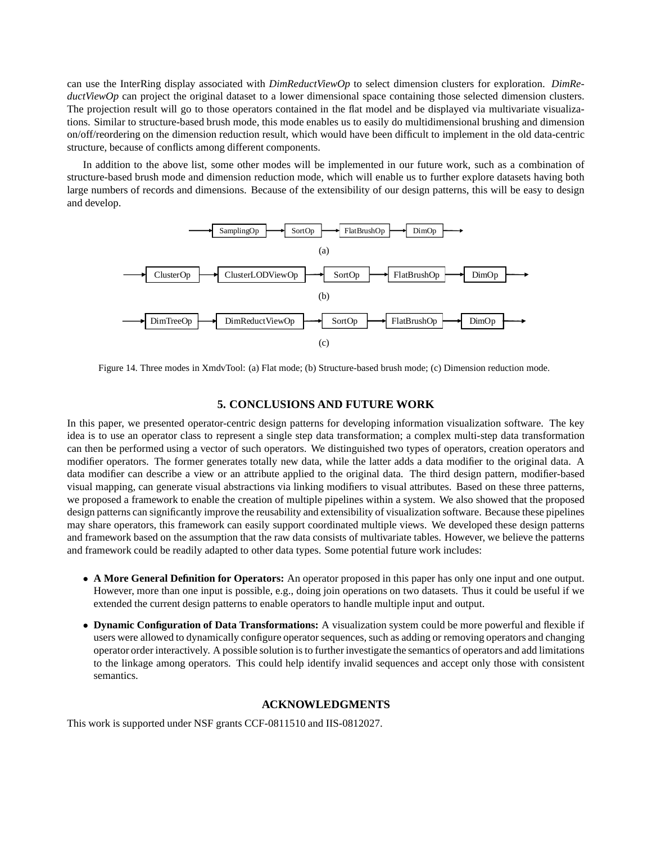can use the InterRing display associated with *DimReductViewOp* to select dimension clusters for exploration. *DimReductViewOp* can project the original dataset to a lower dimensional space containing those selected dimension clusters. The projection result will go to those operators contained in the flat model and be displayed via multivariate visualizations. Similar to structure-based brush mode, this mode enables us to easily do multidimensional brushing and dimension on/off/reordering on the dimension reduction result, which would have been difficult to implement in the old data-centric structure, because of conflicts among different components.

In addition to the above list, some other modes will be implemented in our future work, such as a combination of structure-based brush mode and dimension reduction mode, which will enable us to further explore datasets having both large numbers of records and dimensions. Because of the extensibility of our design patterns, this will be easy to design and develop.



Figure 14. Three modes in XmdvTool: (a) Flat mode; (b) Structure-based brush mode; (c) Dimension reduction mode.

# **5. CONCLUSIONS AND FUTURE WORK**

In this paper, we presented operator-centric design patterns for developing information visualization software. The key idea is to use an operator class to represent a single step data transformation; a complex multi-step data transformation can then be performed using a vector of such operators. We distinguished two types of operators, creation operators and modifier operators. The former generates totally new data, while the latter adds a data modifier to the original data. A data modifier can describe a view or an attribute applied to the original data. The third design pattern, modifier-based visual mapping, can generate visual abstractions via linking modifiers to visual attributes. Based on these three patterns, we proposed a framework to enable the creation of multiple pipelines within a system. We also showed that the proposed design patterns can significantly improve the reusability and extensibility of visualization software. Because these pipelines may share operators, this framework can easily support coordinated multiple views. We developed these design patterns and framework based on the assumption that the raw data consists of multivariate tables. However, we believe the patterns and framework could be readily adapted to other data types. Some potential future work includes:

- **A More General Definition for Operators:** An operator proposed in this paper has only one input and one output. However, more than one input is possible, e.g., doing join operations on two datasets. Thus it could be useful if we extended the current design patterns to enable operators to handle multiple input and output.
- **Dynamic Configuration of Data Transformations:** A visualization system could be more powerful and flexible if users were allowed to dynamically configure operator sequences, such as adding or removing operators and changing operator order interactively. A possible solution is to further investigate the semantics of operators and add limitations to the linkage among operators. This could help identify invalid sequences and accept only those with consistent semantics.

## **ACKNOWLEDGMENTS**

This work is supported under NSF grants CCF-0811510 and IIS-0812027.